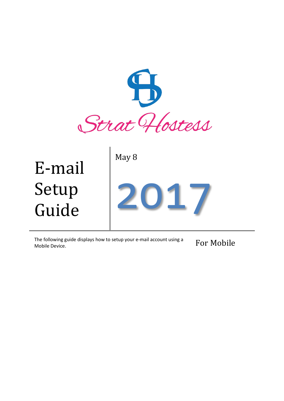

The following guide displays how to setup your e-mail account using a Mobile Device. For Mobile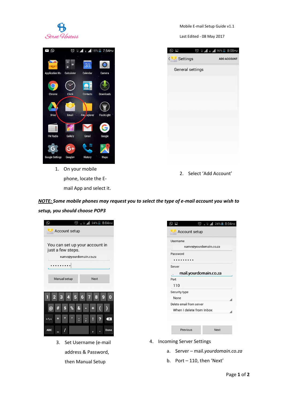

Mobile E-mail Setup Guide v1.1

Last Edited - 08 May 2017



1. On your mobile phone, locate the Email App and select it.

| $\text{C}$       | © H 1 E 11 16% 8:08PM |                    |
|------------------|-----------------------|--------------------|
| < Settings       |                       | <b>ADD ACCOUNT</b> |
| General settings |                       |                    |
|                  |                       |                    |
|                  |                       |                    |
|                  |                       |                    |
|                  |                       |                    |
|                  |                       |                    |
|                  |                       |                    |
|                  |                       |                    |
|                  |                       |                    |
|                  |                       |                    |
|                  |                       |                    |

2. Select 'Add Account'

*NOTE: Some mobile phones may request you to select the type of e-mail account you wish to setup, you should choose POP3*

| © R H 11 24% 8:04PM<br>Q<br>Account setup                                    | ◎ R H 1 24% 8:04PM<br>⊙<br>H<br>Account setup                                                                  |
|------------------------------------------------------------------------------|----------------------------------------------------------------------------------------------------------------|
| You can set up your account in<br>just a few steps.<br>name@yourdomain.co.za | Username<br>name@yourdomain.co.za<br>Password<br>Server                                                        |
| Manual setup<br><b>Next</b>                                                  | mail.yourdomain.co.za<br>Port<br>110<br>Security type                                                          |
| %<br>8<br>ω<br>$= 1$<br>$\ast$<br>$\overline{\mathbf{x}}$                    | None<br>Delete email from server<br>When I delete from Inbox                                                   |
| <b>ABC</b><br>Done                                                           | Previous<br><b>Next</b>                                                                                        |
| Set Username (e-mail<br>3.<br>address & Password,<br>then Manual Setup       | <b>Incoming Server Settings</b><br>4.<br>Server - mail.yourdomain.co.za<br>a.<br>Port - 110, then 'Next'<br>b. |